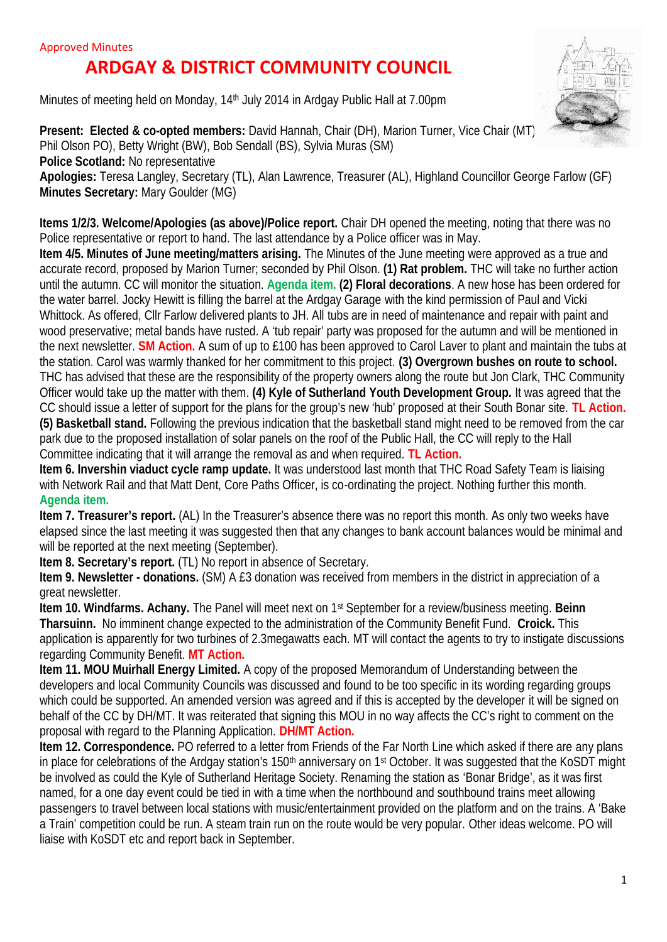## **ARDGAY & DISTRICT COMMUNITY COUNCIL**

Minutes of meeting held on Monday, 14th July 2014 in Ardgay Public Hall at 7.00pm



**Present: Elected & co-opted members: David Hannah, Chair (DH), Marion Turner, Vice Chair (MT)** Phil Olson PO), Betty Wright (BW), Bob Sendall (BS), Sylvia Muras (SM) **Police Scotland:** No representative

**Apologies:** Teresa Langley, Secretary (TL), Alan Lawrence, Treasurer (AL), Highland Councillor George Farlow (GF) **Minutes Secretary:** Mary Goulder (MG)

**Items 1/2/3. Welcome/Apologies (as above)/Police report.** Chair DH opened the meeting, noting that there was no Police representative or report to hand. The last attendance by a Police officer was in May.

**Item 4/5. Minutes of June meeting/matters arising.** The Minutes of the June meeting were approved as a true and accurate record, proposed by Marion Turner; seconded by Phil Olson. **(1) Rat problem.** THC will take no further action until the autumn. CC will monitor the situation. **Agenda item. (2) Floral decorations**. A new hose has been ordered for the water barrel. Jocky Hewitt is filling the barrel at the Ardgay Garage with the kind permission of Paul and Vicki Whittock. As offered, Cllr Farlow delivered plants to JH. All tubs are in need of maintenance and repair with paint and wood preservative; metal bands have rusted. A 'tub repair' party was proposed for the autumn and will be mentioned in the next newsletter. **SM Action.** A sum of up to £100 has been approved to Carol Laver to plant and maintain the tubs at the station. Carol was warmly thanked for her commitment to this project. **(3) Overgrown bushes on route to school.** THC has advised that these are the responsibility of the property owners along the route but Jon Clark, THC Community Officer would take up the matter with them. **(4) Kyle of Sutherland Youth Development Group.** It was agreed that the CC should issue a letter of support for the plans for the group's new 'hub' proposed at their South Bonar site. **TL Action. (5) Basketball stand.** Following the previous indication that the basketball stand might need to be removed from the car park due to the proposed installation of solar panels on the roof of the Public Hall, the CC will reply to the Hall Committee indicating that it will arrange the removal as and when required. **TL Action.**

**Item 6. Invershin viaduct cycle ramp update.** It was understood last month that THC Road Safety Team is liaising with Network Rail and that Matt Dent, Core Paths Officer, is co-ordinating the project. Nothing further this month. **Agenda item.**

**Item 7. Treasurer's report.** (AL) In the Treasurer's absence there was no report this month. As only two weeks have elapsed since the last meeting it was suggested then that any changes to bank account balances would be minimal and will be reported at the next meeting (September).

**Item 8. Secretary's report.** (TL) No report in absence of Secretary.

**Item 9. Newsletter - donations.** (SM) A £3 donation was received from members in the district in appreciation of a great newsletter.

**Item 10. Windfarms. Achany.** The Panel will meet next on 1st September for a review/business meeting. **Beinn Tharsuinn.** No imminent change expected to the administration of the Community Benefit Fund. **Croick.** This application is apparently for two turbines of 2.3megawatts each. MT will contact the agents to try to instigate discussions regarding Community Benefit. **MT Action.**

**Item 11. MOU Muirhall Energy Limited.** A copy of the proposed Memorandum of Understanding between the developers and local Community Councils was discussed and found to be too specific in its wording regarding groups which could be supported. An amended version was agreed and if this is accepted by the developer it will be signed on behalf of the CC by DH/MT. It was reiterated that signing this MOU in no way affects the CC's right to comment on the proposal with regard to the Planning Application. **DH/MT Action.**

**Item 12. Correspondence.** PO referred to a letter from Friends of the Far North Line which asked if there are any plans in place for celebrations of the Ardgay station's 150<sup>th</sup> anniversary on 1<sup>st</sup> October. It was suggested that the KoSDT might be involved as could the Kyle of Sutherland Heritage Society. Renaming the station as 'Bonar Bridge', as it was first named, for a one day event could be tied in with a time when the northbound and southbound trains meet allowing passengers to travel between local stations with music/entertainment provided on the platform and on the trains. A 'Bake a Train' competition could be run. A steam train run on the route would be very popular. Other ideas welcome. PO will liaise with KoSDT etc and report back in September.